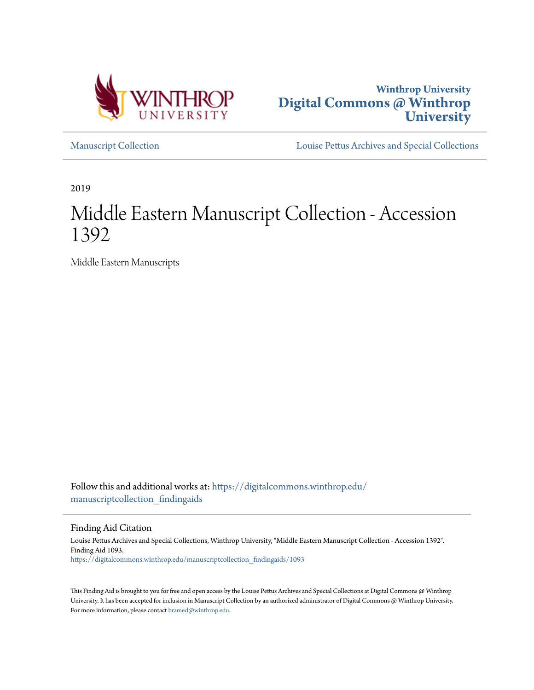



[Manuscript Collection](https://digitalcommons.winthrop.edu/manuscriptcollection_findingaids?utm_source=digitalcommons.winthrop.edu%2Fmanuscriptcollection_findingaids%2F1093&utm_medium=PDF&utm_campaign=PDFCoverPages) [Louise Pettus Archives and Special Collections](https://digitalcommons.winthrop.edu/pettus_archives?utm_source=digitalcommons.winthrop.edu%2Fmanuscriptcollection_findingaids%2F1093&utm_medium=PDF&utm_campaign=PDFCoverPages)

2019

# Middle Eastern Manuscript Collection - Accession 1392

Middle Eastern Manuscripts

Follow this and additional works at: [https://digitalcommons.winthrop.edu/](https://digitalcommons.winthrop.edu/manuscriptcollection_findingaids?utm_source=digitalcommons.winthrop.edu%2Fmanuscriptcollection_findingaids%2F1093&utm_medium=PDF&utm_campaign=PDFCoverPages) manuscriptcollection findingaids

Finding Aid Citation

Louise Pettus Archives and Special Collections, Winthrop University, "Middle Eastern Manuscript Collection - Accession 1392". Finding Aid 1093. [https://digitalcommons.winthrop.edu/manuscriptcollection\\_findingaids/1093](https://digitalcommons.winthrop.edu/manuscriptcollection_findingaids/1093?utm_source=digitalcommons.winthrop.edu%2Fmanuscriptcollection_findingaids%2F1093&utm_medium=PDF&utm_campaign=PDFCoverPages)

This Finding Aid is brought to you for free and open access by the Louise Pettus Archives and Special Collections at Digital Commons @ Winthrop University. It has been accepted for inclusion in Manuscript Collection by an authorized administrator of Digital Commons @ Winthrop University. For more information, please contact [bramed@winthrop.edu.](mailto:bramed@winthrop.edu)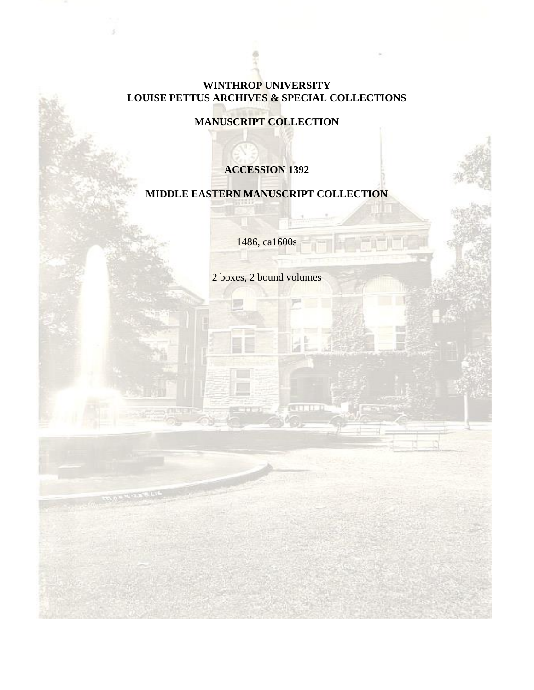# **WINTHROP UNIVERSITY LOUISE PETTUS ARCHIVES & SPECIAL COLLECTIONS**

**MANUSCRIPT COLLECTION**

# **ACCESSION 1392**

# **MIDDLE EASTERN MANUSCRIPT COLLECTION**

1486, ca1600s

2 boxes, 2 bound volumes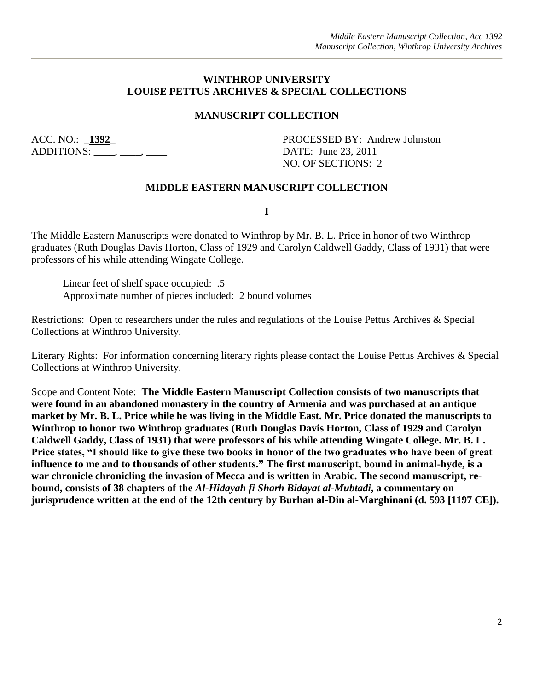# **WINTHROP UNIVERSITY LOUISE PETTUS ARCHIVES & SPECIAL COLLECTIONS**

# **MANUSCRIPT COLLECTION**

 $ADDITIONS:$   $\qquad \qquad$ .  $\qquad \qquad$ .  $\qquad \qquad$  DATE: June 23, 2011

ACC. NO.: **1392**<br>PROCESSED BY: Andrew Johnston NO. OF SECTIONS: 2

### **MIDDLE EASTERN MANUSCRIPT COLLECTION**

**I**

The Middle Eastern Manuscripts were donated to Winthrop by Mr. B. L. Price in honor of two Winthrop graduates (Ruth Douglas Davis Horton, Class of 1929 and Carolyn Caldwell Gaddy, Class of 1931) that were professors of his while attending Wingate College.

Linear feet of shelf space occupied: .5 Approximate number of pieces included: 2 bound volumes

Restrictions: Open to researchers under the rules and regulations of the Louise Pettus Archives & Special Collections at Winthrop University.

Literary Rights: For information concerning literary rights please contact the Louise Pettus Archives & Special Collections at Winthrop University.

Scope and Content Note: **The Middle Eastern Manuscript Collection consists of two manuscripts that were found in an abandoned monastery in the country of Armenia and was purchased at an antique market by Mr. B. L. Price while he was living in the Middle East. Mr. Price donated the manuscripts to Winthrop to honor two Winthrop graduates (Ruth Douglas Davis Horton, Class of 1929 and Carolyn Caldwell Gaddy, Class of 1931) that were professors of his while attending Wingate College. Mr. B. L. Price states, "I should like to give these two books in honor of the two graduates who have been of great influence to me and to thousands of other students." The first manuscript, bound in animal-hyde, is a war chronicle chronicling the invasion of Mecca and is written in Arabic. The second manuscript, rebound, consists of 38 chapters of the** *Al-Hidayah fi Sharh Bidayat al-Mubtadi***, a commentary on jurisprudence written at the end of the 12th century by Burhan al-Din al-Marghinani (d. 593 [1197 CE]).**